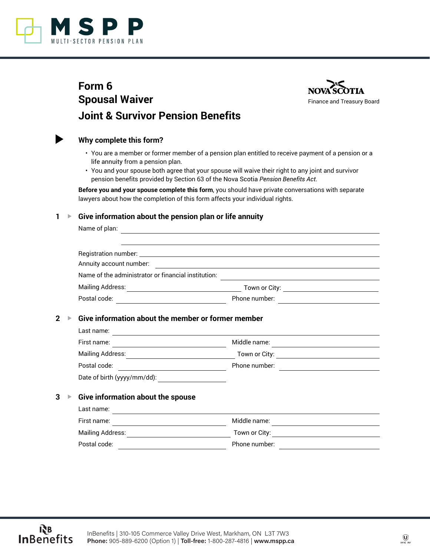

# **Form 6 Spousal Waiver Joint & Survivor Pension Benefits**



## **Why complete this form?**

- You are a member or former member of a pension plan entitled to receive payment of a pension or a life annuity from a pension plan.
- You and your spouse both agree that your spouse will waive their right to any joint and survivor pension benefits provided by Section 63 of the Nova Scotia *Pension Benefits Act*.

**Before you and your spouse complete this form**, you should have private conversations with separate lawyers about how the completion of this form affects your individual rights.

### **1 ▶ Give information about the pension plan or life annuity**

Name of plan:

| Name of the administrator or financial institution: |  |  |
|-----------------------------------------------------|--|--|
| Town or City:                                       |  |  |
| Phone number:                                       |  |  |
|                                                     |  |  |

## **2 ▶ Give information about the member or former member**

| Last name:                  |               |  |
|-----------------------------|---------------|--|
| First name:                 | Middle name:  |  |
| <b>Mailing Address:</b>     | Town or City: |  |
| Postal code:                | Phone number: |  |
| Date of birth (yyyy/mm/dd): |               |  |

## **3 ▶ Give information about the spouse**

| Last name:       |               |
|------------------|---------------|
| First name:      | Middle name:  |
| Mailing Address: | Town or City: |
| Postal code:     | Phone number: |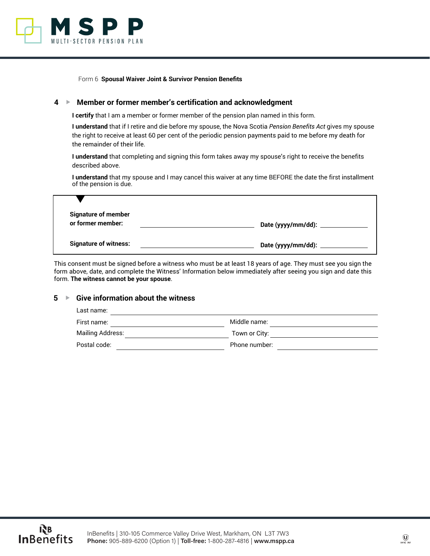

Form 6 **Spousal Waiver Joint & Survivor Pension Benefits**

#### **4** ► Member or former member's certification and acknowledgment

**I certify** that I am a member or former member of the pension plan named in this form.

**I understand** that if I retire and die before my spouse, the Nova Scotia *Pension Benefits Act* gives my spouse the right to receive at least 60 per cent of the periodic pension payments paid to me before my death for the remainder of their life.

**I understand** that completing and signing this form takes away my spouse's right to receive the benefits described above.

**I understand** that my spouse and I may cancel this waiver at any time BEFORE the date the first installment of the pension is due.

| <b>Signature of member</b><br>or former member: | Date (yyyy/mm/dd): __ |
|-------------------------------------------------|-----------------------|
| <b>Signature of witness:</b>                    | Date (yyyy/mm/dd): _  |

This consent must be signed before a witness who must be at least 18 years of age. They must see you sign the form above, date, and complete the Witness' Information below immediately after seeing you sign and date this form. **The witness cannot be your spouse**.

## **5** ▶ Give information about the witness

| Last name:              |               |
|-------------------------|---------------|
| First name:             | Middle name:  |
| <b>Mailing Address:</b> | Town or City: |
| Postal code:            | Phone number: |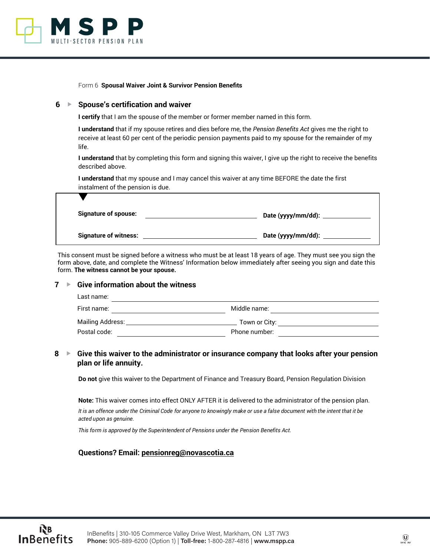

Form 6 **Spousal Waiver Joint & Survivor Pension Benefits**

#### **6** G **Spouse's certification and waiver**

**I certify** that I am the spouse of the member or former member named in this form.

**I understand** that if my spouse retires and dies before me, the *Pension Benefits Act* gives me the right to receive at least 60 per cent of the periodic pension payments paid to my spouse for the remainder of my life.

**I understand** that by completing this form and signing this waiver, I give up the right to receive the benefits described above.

**I understand** that my spouse and I may cancel this waiver at any time BEFORE the date the first instalment of the pension is due.

| <b>Signature of spouse:</b>  | Date (yyyy/mm/dd): _ |
|------------------------------|----------------------|
| <b>Signature of witness:</b> | Date (yyyy/mm/dd):   |

This consent must be signed before a witness who must be at least 18 years of age. They must see you sign the form above, date, and complete the Witness' Information below immediately after seeing you sign and date this form. **The witness cannot be your spouse.**

#### **7 ▶ Give information about the witness**

| Last name:   |               |
|--------------|---------------|
| First name:  | Middle name:  |
|              | Town or City: |
| Postal code: | Phone number: |

## **8** ► Give this waiver to the administrator or insurance company that looks after your pension **plan or life annuity.**

**Do not** give this waiver to the Department of Finance and Treasury Board, Pension Regulation Division

**Note:** This waiver comes into effect ONLY AFTER it is delivered to the administrator of the pension plan.

*It is an offence under the Criminal Code for anyone to knowingly make or use a false document with the intent that it be acted upon as genuine.*

*This form is approved by the Superintendent of Pensions under the Pension Benefits Act.*

#### **Questions? Email: pensionreg@novascotia.ca**